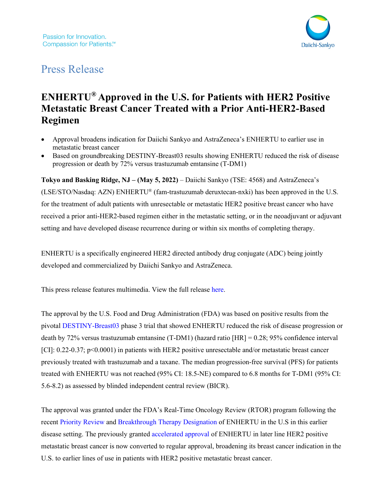

# Press Release

# **ENHERTU® Approved in the U.S. for Patients with HER2 Positive Metastatic Breast Cancer Treated with a Prior Anti-HER2-Based Regimen**

- Approval broadens indication for Daiichi Sankyo and AstraZeneca's ENHERTU to earlier use in metastatic breast cancer
- Based on groundbreaking DESTINY-Breast03 results showing ENHERTU reduced the risk of disease progression or death by 72% versus trastuzumab emtansine (T-DM1)

**Tokyo and Basking Ridge, NJ – (May 5, 2022)** – Daiichi Sankyo (TSE: 4568) and AstraZeneca's (LSE/STO/Nasdaq: AZN) ENHERTU® (fam-trastuzumab deruxtecan-nxki) has been approved in the U.S. for the treatment of adult patients with unresectable or metastatic HER2 positive breast cancer who have received a prior anti-HER2-based regimen either in the metastatic setting, or in the neoadjuvant or adjuvant setting and have developed disease recurrence during or within six months of completing therapy.

ENHERTU is a specifically engineered HER2 directed antibody drug conjugate (ADC) being jointly developed and commercialized by Daiichi Sankyo and AstraZeneca.

This press release features multimedia. View the full release [here.](https://www.businesswire.com/news/home/20220414005880/en/ENHERTU%C2%AE-Approved-in-the-U.S.-for-Patients-with-HER2-Positive-Metastatic-Breast-Cancer-Treated-with-a-Prior-Anti-HER2-Based-Regimen)

The approval by the U.S. Food and Drug Administration (FDA) was based on positive results from the pivotal [DESTINY-Breast03](https://clinicaltrials.gov/ct2/show/NCT03529110) phase 3 trial that showed ENHERTU reduced the risk of disease progression or death by 72% versus trastuzumab emtansine (T-DM1) (hazard ratio [HR] = 0.28; 95% confidence interval [CI]: 0.22-0.37; p<0.0001) in patients with HER2 positive unresectable and/or metastatic breast cancer previously treated with trastuzumab and a taxane. The median progression-free survival (PFS) for patients treated with ENHERTU was not reached (95% CI: 18.5-NE) compared to 6.8 months for T-DM1 (95% CI: 5.6-8.2) as assessed by blinded independent central review (BICR).

The approval was granted under the FDA's Real-Time Oncology Review (RTOR) program following the recent [Priority Review](https://www.daiichisankyo.com/files/news/pressrelease/pdf/202201/20220117_E.pdf) and [Breakthrough Therapy Designation](https://www.daiichisankyo.com/files/news/pressrelease/pdf/202110/20211004_E.pdf) of ENHERTU in the U.S in this earlier disease setting. The previously granted [accelerated approval](https://www.daiichisankyo.com/files/news/pressrelease/pdf/007088/20191223_E.pdf) of ENHERTU in later line HER2 positive metastatic breast cancer is now converted to regular approval, broadening its breast cancer indication in the U.S. to earlier lines of use in patients with HER2 positive metastatic breast cancer.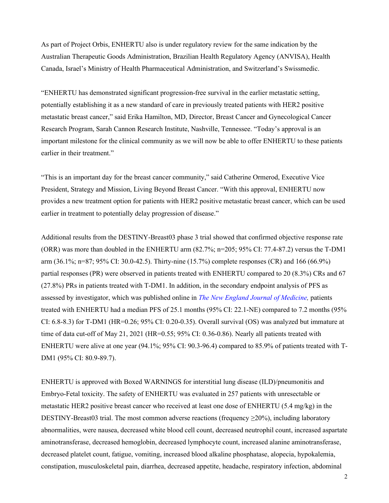As part of Project Orbis, ENHERTU also is under regulatory review for the same indication by the Australian Therapeutic Goods Administration, Brazilian Health Regulatory Agency (ANVISA), Health Canada, Israel's Ministry of Health Pharmaceutical Administration, and Switzerland's Swissmedic.

"ENHERTU has demonstrated significant progression-free survival in the earlier metastatic setting, potentially establishing it as a new standard of care in previously treated patients with HER2 positive metastatic breast cancer," said Erika Hamilton, MD, Director, Breast Cancer and Gynecological Cancer Research Program, Sarah Cannon Research Institute, Nashville, Tennessee. "Today's approval is an important milestone for the clinical community as we will now be able to offer ENHERTU to these patients earlier in their treatment."

"This is an important day for the breast cancer community," said Catherine Ormerod, Executive Vice President, Strategy and Mission, Living Beyond Breast Cancer. "With this approval, ENHERTU now provides a new treatment option for patients with HER2 positive metastatic breast cancer, which can be used earlier in treatment to potentially delay progression of disease."

Additional results from the DESTINY-Breast03 phase 3 trial showed that confirmed objective response rate (ORR) was more than doubled in the ENHERTU arm (82.7%; n=205; 95% CI: 77.4-87.2) versus the T-DM1 arm (36.1%; n=87; 95% CI: 30.0-42.5). Thirty-nine (15.7%) complete responses (CR) and 166 (66.9%) partial responses (PR) were observed in patients treated with ENHERTU compared to 20 (8.3%) CRs and 67 (27.8%) PRs in patients treated with T-DM1. In addition, in the secondary endpoint analysis of PFS as assessed by investigator, which was published online in *The [New England Journal of Medicine,](https://www.nejm.org/doi/full/10.1056/NEJMoa2115022)* patients treated with ENHERTU had a median PFS of 25.1 months (95% CI: 22.1-NE) compared to 7.2 months (95% CI: 6.8-8.3) for T-DM1 (HR=0.26; 95% CI: 0.20-0.35). Overall survival (OS) was analyzed but immature at time of data cut-off of May 21, 2021 (HR=0.55; 95% CI: 0.36-0.86). Nearly all patients treated with ENHERTU were alive at one year (94.1%; 95% CI: 90.3-96.4) compared to 85.9% of patients treated with T-DM1 (95% CI: 80.9-89.7).

ENHERTU is approved with Boxed WARNINGS for interstitial lung disease (ILD)/pneumonitis and Embryo-Fetal toxicity. The safety of ENHERTU was evaluated in 257 patients with unresectable or metastatic HER2 positive breast cancer who received at least one dose of ENHERTU (5.4 mg/kg) in the DESTINY-Breast03 trial. The most common adverse reactions (frequency  $\geq$ 20%), including laboratory abnormalities, were nausea, decreased white blood cell count, decreased neutrophil count, increased aspartate aminotransferase, decreased hemoglobin, decreased lymphocyte count, increased alanine aminotransferase, decreased platelet count, fatigue, vomiting, increased blood alkaline phosphatase, alopecia, hypokalemia, constipation, musculoskeletal pain, diarrhea, decreased appetite, headache, respiratory infection, abdominal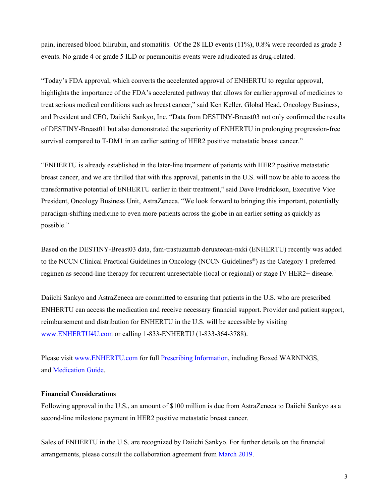pain, increased blood bilirubin, and stomatitis. Of the 28 ILD events (11%), 0.8% were recorded as grade 3 events. No grade 4 or grade 5 ILD or pneumonitis events were adjudicated as drug-related.

"Today's FDA approval, which converts the accelerated approval of ENHERTU to regular approval, highlights the importance of the FDA's accelerated pathway that allows for earlier approval of medicines to treat serious medical conditions such as breast cancer," said Ken Keller, Global Head, Oncology Business, and President and CEO, Daiichi Sankyo, Inc. "Data from DESTINY-Breast03 not only confirmed the results of DESTINY-Breast01 but also demonstrated the superiority of ENHERTU in prolonging progression-free survival compared to T-DM1 in an earlier setting of HER2 positive metastatic breast cancer."

"ENHERTU is already established in the later-line treatment of patients with HER2 positive metastatic breast cancer, and we are thrilled that with this approval, patients in the U.S. will now be able to access the transformative potential of ENHERTU earlier in their treatment," said Dave Fredrickson, Executive Vice President, Oncology Business Unit, AstraZeneca. "We look forward to bringing this important, potentially paradigm-shifting medicine to even more patients across the globe in an earlier setting as quickly as possible."

Based on the DESTINY-Breast03 data, fam-trastuzumab deruxtecan-nxki (ENHERTU) recently was added to the NCCN Clinical Practical Guidelines in Oncology (NCCN Guidelines®) as the Category 1 preferred regimen as second-line therapy for recurrent unresectable (local or regional) or stage IV HER2+ disease.<sup>[1](#page-10-0)</sup>

Daiichi Sankyo and AstraZeneca are committed to ensuring that patients in the U.S. who are prescribed ENHERTU can access the medication and receive necessary financial support. Provider and patient support, reimbursement and distribution for ENHERTU in the U.S. will be accessible by visiting [www.ENHERTU4U.com](http://www.enhertu4u.com/) or calling 1-833-ENHERTU (1-833-364-3788).

Please visit [www.ENHERTU.com](http://www.enhertu.com/) for full [Prescribing Information,](https://dsi.com/prescribing-information-portlet/getPIContent?productName=Enhertu&inline=true) including Boxed WARNINGS, and [Medication Guide.](https://dsi.com/prescribing-information-portlet/getPIContent?productName=Enhertu_Med&inline=true)

#### **Financial Considerations**

Following approval in the U.S., an amount of \$100 million is due from AstraZeneca to Daiichi Sankyo as a second-line milestone payment in HER2 positive metastatic breast cancer.

Sales of ENHERTU in the U.S. are recognized by Daiichi Sankyo. For further details on the financial arrangements, please consult the collaboration agreement from [March 2019.](https://www.daiichisankyo.com/files/news/pressrelease/pdf/006988/190329_886_E.pdf)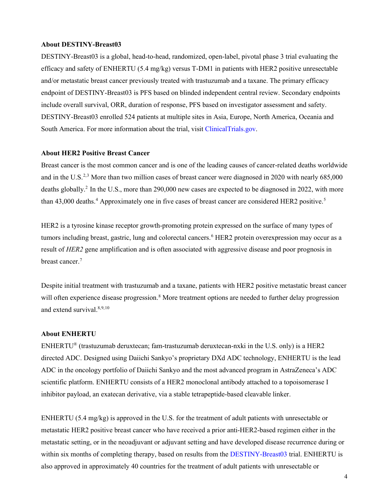#### **About DESTINY-Breast03**

DESTINY-Breast03 is a global, head-to-head, randomized, open-label, pivotal phase 3 trial evaluating the efficacy and safety of ENHERTU (5.4 mg/kg) versus T-DM1 in patients with HER2 positive unresectable and/or metastatic breast cancer previously treated with trastuzumab and a taxane. The primary efficacy endpoint of DESTINY-Breast03 is PFS based on blinded independent central review. Secondary endpoints include overall survival, ORR, duration of response, PFS based on investigator assessment and safety. DESTINY-Breast03 enrolled 524 patients at multiple sites in Asia, Europe, North America, Oceania and South America. For more information about the trial, visit [ClinicalTrials.gov.](https://clinicaltrials.gov/ct2/show/NCT03529110)

#### **About HER2 Positive Breast Cancer**

Breast cancer is the most common cancer and is one of the leading causes of cancer-related deaths worldwide and in the U.S.<sup>[2,](#page-10-1)[3](#page-10-2)</sup> More than two million cases of breast cancer were diagnosed in 2020 with nearly 685,000 deaths globally. 2 In the U.S., more than 290,000 new cases are expected to be diagnosed in 2022, with more than [4](#page-10-3)3,000 deaths.<sup>4</sup> Approximately one in five cases of breast cancer are considered HER2 positive.<sup>[5](#page-10-4)</sup>

HER2 is a tyrosine kinase receptor growth-promoting protein expressed on the surface of many types of tumors including breast, gastric, lung and colorectal cancers.<sup>[6](#page-10-5)</sup> HER2 protein overexpression may occur as a result of *HER2* gene amplification and is often associated with aggressive disease and poor prognosis in breast cancer.<sup>[7](#page-10-6)</sup>

Despite initial treatment with trastuzumab and a taxane, patients with HER2 positive metastatic breast cancer will often experience disease progression.<sup>[8](#page-10-7)</sup> More treatment options are needed to further delay progression and extend survival. 8[,9,](#page-10-8)[10](#page-10-9)

#### **About ENHERTU**

ENHERTU® (trastuzumab deruxtecan; fam-trastuzumab deruxtecan-nxki in the U.S. only) is a HER2 directed ADC. Designed using Daiichi Sankyo's proprietary DXd ADC technology, ENHERTU is the lead ADC in the oncology portfolio of Daiichi Sankyo and the most advanced program in AstraZeneca's ADC scientific platform. ENHERTU consists of a HER2 monoclonal antibody attached to a topoisomerase I inhibitor payload, an exatecan derivative, via a stable tetrapeptide-based cleavable linker.

ENHERTU (5.4 mg/kg) is approved in the U.S. for the treatment of adult patients with unresectable or metastatic HER2 positive breast cancer who have received a prior anti-HER2-based regimen either in the metastatic setting, or in the neoadjuvant or adjuvant setting and have developed disease recurrence during or within six months of completing therapy, based on results from the [DESTINY-Breast03](https://clinicaltrials.gov/ct2/show/NCT03529110) trial. ENHERTU is also approved in approximately 40 countries for the treatment of adult patients with unresectable or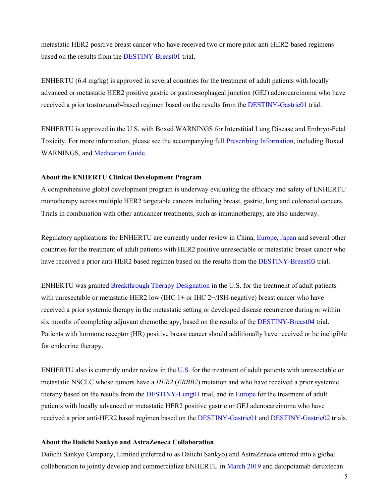metastatic HER2 positive breast cancer who have received two or more prior anti-HER2-based regimens based on the results from the [DESTINY-Breast01](https://clinicaltrials.gov/ct2/show/NCT03248492) trial.

ENHERTU (6.4 mg/kg) is approved in several countries for the treatment of adult patients with locally advanced or metastatic HER2 positive gastric or gastroesophageal junction (GEJ) adenocarcinoma who have received a prior trastuzumab-based regimen based on the results from the [DESTINY-Gastric01](https://clinicaltrials.gov/ct2/show/NCT03329690) trial.

ENHERTU is approved in the U.S. with Boxed WARNINGS for Interstitial Lung Disease and Embryo-Fetal Toxicity. For more information, please see the accompanying full [Prescribing Information,](https://dsi.com/prescribing-information-portlet/getPIContent?productName=Enhertu&inline=true) including Boxed WARNINGS, and [Medication Guide.](https://dsi.com/prescribing-information-portlet/getPIContent?productName=Enhertu_Med&inline=true)

#### **About the ENHERTU Clinical Development Program**

A comprehensive global development program is underway evaluating the efficacy and safety of ENHERTU monotherapy across multiple HER2 targetable cancers including breast, gastric, lung and colorectal cancers. Trials in combination with other anticancer treatments, such as immunotherapy, are also underway.

Regulatory applications for ENHERTU are currently under review in China, [Europe,](https://www.daiichisankyo.com/files/news/pressrelease/pdf/202112/20211228_E.pdf) [Japan](https://www.daiichisankyo.com/files/news/pressrelease/pdf/202112/20211214_E.pdf) and several other countries for the treatment of adult patients with HER2 positive unresectable or metastatic breast cancer who have received a prior anti-HER2 based regimen based on the results from th[e DESTINY-Breast03](https://clinicaltrials.gov/ct2/show/NCT03529110) trial.

ENHERTU was granted [Breakthrough Therapy Designation](https://www.daiichisankyo.com/files/news/pressrelease/pdf/202204/20220427_E.pdf) in the U.S. for the treatment of adult patients with unresectable or metastatic HER2 low (IHC  $1+$  or IHC  $2+/ISH$ -negative) breast cancer who have received a prior systemic therapy in the metastatic setting or developed disease recurrence during or within six months of completing adjuvant chemotherapy, based on the results of the [DESTINY-Breast04](https://clinicaltrials.gov/ct2/show/NCT03734029) trial. Patients with hormone receptor (HR) positive breast cancer should additionally have received or be ineligible for endocrine therapy.

ENHERTU also is currently under review in the [U.S.](https://www.daiichisankyo.com/files/news/pressrelease/pdf/202204/20220419_E.pdf) for the treatment of adult patients with unresectable or metastatic NSCLC whose tumors have a *HER2* (*ERBB2*) mutation and who have received a prior systemic therapy based on the results from the [DESTINY-Lung01](https://clinicaltrials.gov/ct2/show/NCT03505710) trial, and in [Europe](https://www.daiichisankyo.com/files/news/pressrelease/pdf/202111/20211103_E.pdf) for the treatment of adult patients with locally advanced or metastatic HER2 positive gastric or GEJ adenocarcinoma who have received a prior anti-HER2 based regimen based on the [DESTINY-Gastric01](https://clinicaltrials.gov/ct2/show/NCT03329690) and [DESTINY-Gastric02](https://www.clinicaltrials.gov/ct2/show/NCT04014075) trials.

#### **About the Daiichi Sankyo and AstraZeneca Collaboration**

Daiichi Sankyo Company, Limited (referred to as Daiichi Sankyo) and AstraZeneca entered into a global collaboration to jointly develop and commercialize ENHERTU in [March 2019](https://www.daiichisankyo.com/files/news/pressrelease/pdf/006988/190329_886_E.pdf) and datopotamab deruxtecan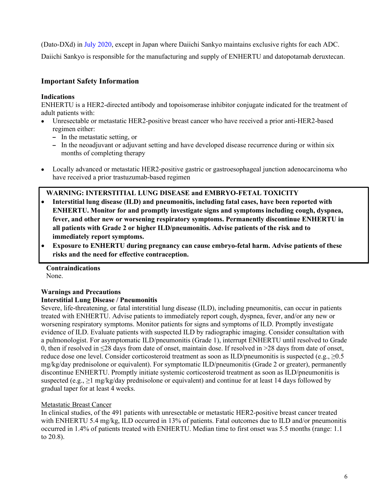(Dato-DXd) in [July 2020,](https://www.daiichisankyo.com/files/news/pressrelease/pdf/007172/20200727_E.pdf) except in Japan where Daiichi Sankyo maintains exclusive rights for each ADC.

Daiichi Sankyo is responsible for the manufacturing and supply of ENHERTU and datopotamab deruxtecan.

# **Important Safety Information**

## **Indications**

ENHERTU is a HER2-directed antibody and topoisomerase inhibitor conjugate indicated for the treatment of adult patients with:

- Unresectable or metastatic HER2-positive breast cancer who have received a prior anti-HER2-based regimen either:
	- **–** In the metastatic setting, or
	- **–** In the neoadjuvant or adjuvant setting and have developed disease recurrence during or within six months of completing therapy
- Locally advanced or metastatic HER2-positive gastric or gastroesophageal junction adenocarcinoma who have received a prior trastuzumab-based regimen

# **WARNING: INTERSTITIAL LUNG DISEASE and EMBRYO-FETAL TOXICITY**

- **Interstitial lung disease (ILD) and pneumonitis, including fatal cases, have been reported with ENHERTU. Monitor for and promptly investigate signs and symptoms including cough, dyspnea, fever, and other new or worsening respiratory symptoms. Permanently discontinue ENHERTU in all patients with Grade 2 or higher ILD/pneumonitis. Advise patients of the risk and to immediately report symptoms.**
- **Exposure to ENHERTU during pregnancy can cause embryo-fetal harm. Advise patients of these risks and the need for effective contraception.**

**Contraindications** None.

# **Warnings and Precautions Interstitial Lung Disease / Pneumonitis**

Severe, life-threatening, or fatal interstitial lung disease (ILD), including pneumonitis, can occur in patients treated with ENHERTU. Advise patients to immediately report cough, dyspnea, fever, and/or any new or worsening respiratory symptoms. Monitor patients for signs and symptoms of ILD. Promptly investigate evidence of ILD. Evaluate patients with suspected ILD by radiographic imaging. Consider consultation with a pulmonologist. For asymptomatic ILD/pneumonitis (Grade 1), interrupt ENHERTU until resolved to Grade 0, then if resolved in ≤28 days from date of onset, maintain dose. If resolved in >28 days from date of onset, reduce dose one level. Consider corticosteroid treatment as soon as ILD/pneumonitis is suspected (e.g.,  $\geq 0.5$ ) mg/kg/day prednisolone or equivalent). For symptomatic ILD/pneumonitis (Grade 2 or greater), permanently discontinue ENHERTU. Promptly initiate systemic corticosteroid treatment as soon as ILD/pneumonitis is suspected (e.g.,  $\geq 1$  mg/kg/day prednisolone or equivalent) and continue for at least 14 days followed by gradual taper for at least 4 weeks.

# Metastatic Breast Cancer

In clinical studies, of the 491 patients with unresectable or metastatic HER2-positive breast cancer treated with ENHERTU 5.4 mg/kg, ILD occurred in 13% of patients. Fatal outcomes due to ILD and/or pneumonitis occurred in 1.4% of patients treated with ENHERTU. Median time to first onset was 5.5 months (range: 1.1 to 20.8).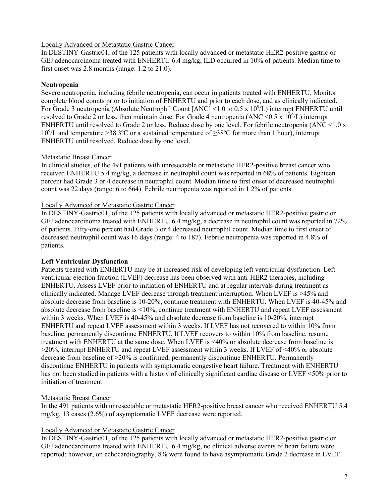# Locally Advanced or Metastatic Gastric Cancer

In DESTINY-Gastric01, of the 125 patients with locally advanced or metastatic HER2-positive gastric or GEJ adenocarcinoma treated with ENHERTU 6.4 mg/kg, ILD occurred in 10% of patients. Median time to first onset was 2.8 months (range: 1.2 to 21.0).

# **Neutropenia**

Severe neutropenia, including febrile neutropenia, can occur in patients treated with ENHERTU. Monitor complete blood counts prior to initiation of ENHERTU and prior to each dose, and as clinically indicated. For Grade 3 neutropenia (Absolute Neutrophil Count [ANC] <1.0 to 0.5 x 10<sup>9</sup>/L) interrupt ENHERTU until resolved to Grade 2 or less, then maintain dose. For Grade 4 neutropenia (ANC < 0.5 x 10<sup>9</sup>/L) interrupt ENHERTU until resolved to Grade 2 or less. Reduce dose by one level. For febrile neutropenia (ANC <1.0 x 109 /L and temperature >38.3ºC or a sustained temperature of ≥38ºC for more than 1 hour), interrupt ENHERTU until resolved. Reduce dose by one level.

# Metastatic Breast Cancer

In clinical studies, of the 491 patients with unresectable or metastatic HER2-positive breast cancer who received ENHERTU 5.4 mg/kg, a decrease in neutrophil count was reported in 68% of patients. Eighteen percent had Grade 3 or 4 decrease in neutrophil count. Median time to first onset of decreased neutrophil count was 22 days (range: 6 to 664). Febrile neutropenia was reported in 1.2% of patients.

## Locally Advanced or Metastatic Gastric Cancer

In DESTINY-Gastric01, of the 125 patients with locally advanced or metastatic HER2-positive gastric or GEJ adenocarcinoma treated with ENHERTU 6.4 mg/kg, a decrease in neutrophil count was reported in 72% of patients. Fifty-one percent had Grade 3 or 4 decreased neutrophil count. Median time to first onset of decreased neutrophil count was 16 days (range: 4 to 187). Febrile neutropenia was reported in 4.8% of patients.

# **Left Ventricular Dysfunction**

Patients treated with ENHERTU may be at increased risk of developing left ventricular dysfunction. Left ventricular ejection fraction (LVEF) decrease has been observed with anti-HER2 therapies, including ENHERTU. Assess LVEF prior to initiation of ENHERTU and at regular intervals during treatment as clinically indicated. Manage LVEF decrease through treatment interruption. When LVEF is >45% and absolute decrease from baseline is 10-20%, continue treatment with ENHERTU. When LVEF is 40-45% and absolute decrease from baseline is <10%, continue treatment with ENHERTU and repeat LVEF assessment within 3 weeks. When LVEF is 40-45% and absolute decrease from baseline is 10-20%, interrupt ENHERTU and repeat LVEF assessment within 3 weeks. If LVEF has not recovered to within 10% from baseline, permanently discontinue ENHERTU. If LVEF recovers to within 10% from baseline, resume treatment with ENHERTU at the same dose. When LVEF is <40% or absolute decrease from baseline is >20%, interrupt ENHERTU and repeat LVEF assessment within 3 weeks. If LVEF of <40% or absolute decrease from baseline of >20% is confirmed, permanently discontinue ENHERTU. Permanently discontinue ENHERTU in patients with symptomatic congestive heart failure. Treatment with ENHERTU has not been studied in patients with a history of clinically significant cardiac disease or LVEF <50% prior to initiation of treatment.

## Metastatic Breast Cancer

In the 491 patients with unresectable or metastatic HER2-positive breast cancer who received ENHERTU 5.4 mg/kg, 13 cases (2.6%) of asymptomatic LVEF decrease were reported.

## Locally Advanced or Metastatic Gastric Cancer

In DESTINY-Gastric01, of the 125 patients with locally advanced or metastatic HER2-positive gastric or GEJ adenocarcinoma treated with ENHERTU 6.4 mg/kg, no clinical adverse events of heart failure were reported; however, on echocardiography, 8% were found to have asymptomatic Grade 2 decrease in LVEF.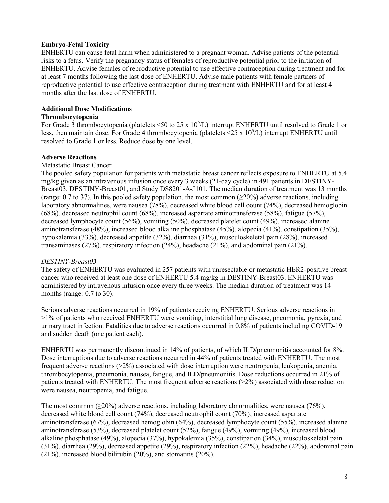# **Embryo-Fetal Toxicity**

ENHERTU can cause fetal harm when administered to a pregnant woman. Advise patients of the potential risks to a fetus. Verify the pregnancy status of females of reproductive potential prior to the initiation of ENHERTU. Advise females of reproductive potential to use effective contraception during treatment and for at least 7 months following the last dose of ENHERTU. Advise male patients with female partners of reproductive potential to use effective contraception during treatment with ENHERTU and for at least 4 months after the last dose of ENHERTU.

# **Additional Dose Modifications**

## **Thrombocytopenia**

For Grade 3 thrombocytopenia (platelets <50 to 25 x  $10^9$ /L) interrupt ENHERTU until resolved to Grade 1 or less, then maintain dose. For Grade 4 thrombocytopenia (platelets < $25 \times 10^9$ /L) interrupt ENHERTU until resolved to Grade 1 or less. Reduce dose by one level.

## **Adverse Reactions**

## Metastatic Breast Cancer

The pooled safety population for patients with metastatic breast cancer reflects exposure to ENHERTU at 5.4 mg/kg given as an intravenous infusion once every 3 weeks (21-day cycle) in 491 patients in DESTINY-Breast03, DESTINY-Breast01, and Study DS8201-A-J101. The median duration of treatment was 13 months (range: 0.7 to 37). In this pooled safety population, the most common  $(\geq 20\%)$  adverse reactions, including laboratory abnormalities, were nausea (78%), decreased white blood cell count (74%), decreased hemoglobin (68%), decreased neutrophil count (68%), increased aspartate aminotransferase (58%), fatigue (57%), decreased lymphocyte count (56%), vomiting (50%), decreased platelet count (49%), increased alanine aminotransferase (48%), increased blood alkaline phosphatase (45%), alopecia (41%), constipation (35%), hypokalemia (33%), decreased appetite (32%), diarrhea (31%), musculoskeletal pain (28%), increased transaminases (27%), respiratory infection (24%), headache (21%), and abdominal pain (21%).

## *DESTINY-Breast03*

The safety of ENHERTU was evaluated in 257 patients with unresectable or metastatic HER2-positive breast cancer who received at least one dose of ENHERTU 5.4 mg/kg in DESTINY-Breast03. ENHERTU was administered by intravenous infusion once every three weeks. The median duration of treatment was 14 months (range: 0.7 to 30).

Serious adverse reactions occurred in 19% of patients receiving ENHERTU. Serious adverse reactions in >1% of patients who received ENHERTU were vomiting, interstitial lung disease, pneumonia, pyrexia, and urinary tract infection. Fatalities due to adverse reactions occurred in 0.8% of patients including COVID-19 and sudden death (one patient each).

ENHERTU was permanently discontinued in 14% of patients, of which ILD/pneumonitis accounted for 8%. Dose interruptions due to adverse reactions occurred in 44% of patients treated with ENHERTU. The most frequent adverse reactions (>2%) associated with dose interruption were neutropenia, leukopenia, anemia, thrombocytopenia, pneumonia, nausea, fatigue, and ILD/pneumonitis. Dose reductions occurred in 21% of patients treated with ENHERTU. The most frequent adverse reactions (>2%) associated with dose reduction were nausea, neutropenia, and fatigue.

The most common ( $>20\%$ ) adverse reactions, including laboratory abnormalities, were nausea (76%), decreased white blood cell count (74%), decreased neutrophil count (70%), increased aspartate aminotransferase (67%), decreased hemoglobin (64%), decreased lymphocyte count (55%), increased alanine aminotransferase (53%), decreased platelet count (52%), fatigue (49%), vomiting (49%), increased blood alkaline phosphatase (49%), alopecia (37%), hypokalemia (35%), constipation (34%), musculoskeletal pain (31%), diarrhea (29%), decreased appetite (29%), respiratory infection (22%), headache (22%), abdominal pain (21%), increased blood bilirubin (20%), and stomatitis (20%).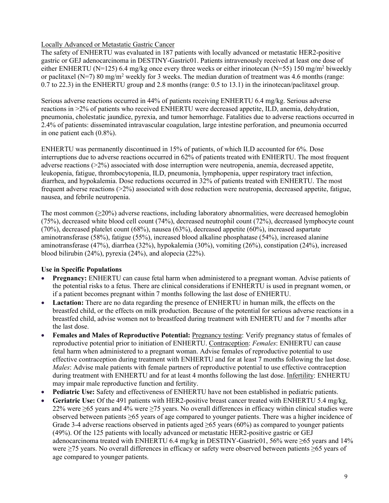# Locally Advanced or Metastatic Gastric Cancer

The safety of ENHERTU was evaluated in 187 patients with locally advanced or metastatic HER2-positive gastric or GEJ adenocarcinoma in DESTINY-Gastric01. Patients intravenously received at least one dose of either ENHERTU (N=125) 6.4 mg/kg once every three weeks or either irinotecan (N=55) 150 mg/m<sup>2</sup> biweekly or paclitaxel (N=7) 80 mg/m<sup>2</sup> weekly for 3 weeks. The median duration of treatment was 4.6 months (range: 0.7 to 22.3) in the ENHERTU group and 2.8 months (range: 0.5 to 13.1) in the irinotecan/paclitaxel group.

Serious adverse reactions occurred in 44% of patients receiving ENHERTU 6.4 mg/kg. Serious adverse reactions in >2% of patients who received ENHERTU were decreased appetite, ILD, anemia, dehydration, pneumonia, cholestatic jaundice, pyrexia, and tumor hemorrhage. Fatalities due to adverse reactions occurred in 2.4% of patients: disseminated intravascular coagulation, large intestine perforation, and pneumonia occurred in one patient each (0.8%).

ENHERTU was permanently discontinued in 15% of patients, of which ILD accounted for 6%. Dose interruptions due to adverse reactions occurred in 62% of patients treated with ENHERTU. The most frequent adverse reactions (>2%) associated with dose interruption were neutropenia, anemia, decreased appetite, leukopenia, fatigue, thrombocytopenia, ILD, pneumonia, lymphopenia, upper respiratory tract infection, diarrhea, and hypokalemia. Dose reductions occurred in 32% of patients treated with ENHERTU. The most frequent adverse reactions (>2%) associated with dose reduction were neutropenia, decreased appetite, fatigue, nausea, and febrile neutropenia.

The most common  $(\geq 20\%)$  adverse reactions, including laboratory abnormalities, were decreased hemoglobin (75%), decreased white blood cell count (74%), decreased neutrophil count (72%), decreased lymphocyte count (70%), decreased platelet count (68%), nausea (63%), decreased appetite (60%), increased aspartate aminotransferase (58%), fatigue (55%), increased blood alkaline phosphatase (54%), increased alanine aminotransferase (47%), diarrhea (32%), hypokalemia (30%), vomiting (26%), constipation (24%), increased blood bilirubin (24%), pyrexia (24%), and alopecia (22%).

# **Use in Specific Populations**

- **Pregnancy:** ENHERTU can cause fetal harm when administered to a pregnant woman. Advise patients of the potential risks to a fetus. There are clinical considerations if ENHERTU is used in pregnant women, or if a patient becomes pregnant within 7 months following the last dose of ENHERTU.
- **Lactation:** There are no data regarding the presence of ENHERTU in human milk, the effects on the breastfed child, or the effects on milk production. Because of the potential for serious adverse reactions in a breastfed child, advise women not to breastfeed during treatment with ENHERTU and for 7 months after the last dose.
- Females and Males of Reproductive Potential: Pregnancy testing: Verify pregnancy status of females of reproductive potential prior to initiation of ENHERTU. Contraception: *Females*: ENHERTU can cause fetal harm when administered to a pregnant woman. Advise females of reproductive potential to use effective contraception during treatment with ENHERTU and for at least 7 months following the last dose. *Males*: Advise male patients with female partners of reproductive potential to use effective contraception during treatment with ENHERTU and for at least 4 months following the last dose. Infertility: ENHERTU may impair male reproductive function and fertility.
- **Pediatric Use:** Safety and effectiveness of ENHERTU have not been established in pediatric patients.
- **Geriatric Use:** Of the 491 patients with HER2-positive breast cancer treated with ENHERTU 5.4 mg/kg, 22% were ≥65 years and 4% were ≥75 years. No overall differences in efficacy within clinical studies were observed between patients ≥65 years of age compared to younger patients. There was a higher incidence of Grade 3-4 adverse reactions observed in patients aged  $\geq 65$  years (60%) as compared to younger patients (49%). Of the 125 patients with locally advanced or metastatic HER2-positive gastric or GEJ adenocarcinoma treated with ENHERTU 6.4 mg/kg in DESTINY-Gastric01, 56% were ≥65 years and 14% were ≥75 years. No overall differences in efficacy or safety were observed between patients ≥65 years of age compared to younger patients.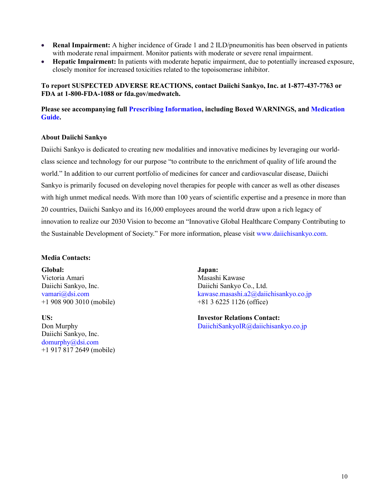- **Renal Impairment:** A higher incidence of Grade 1 and 2 ILD/pneumonitis has been observed in patients with moderate renal impairment. Monitor patients with moderate or severe renal impairment.
- **Hepatic Impairment:** In patients with moderate hepatic impairment, due to potentially increased exposure, closely monitor for increased toxicities related to the topoisomerase inhibitor.

# **To report SUSPECTED ADVERSE REACTIONS, contact Daiichi Sankyo, Inc. at 1-877-437-7763 or FDA at 1-800-FDA-1088 or fda.gov/medwatch.**

# **Please see accompanying full [Prescribing Information,](https://dsi.com/prescribing-information-portlet/getPIContent?productName=Enhertu&inline=true) including Boxed WARNINGS, and [Medication](https://dsi.com/prescribing-information-portlet/getPIContent?productName=Enhertu_Med&inline=true)  [Guide.](https://dsi.com/prescribing-information-portlet/getPIContent?productName=Enhertu_Med&inline=true)**

## **About Daiichi Sankyo**

Daiichi Sankyo is dedicated to creating new modalities and innovative medicines by leveraging our worldclass science and technology for our purpose "to contribute to the enrichment of quality of life around the world." In addition to our current portfolio of medicines for cancer and cardiovascular disease, Daiichi Sankyo is primarily focused on developing novel therapies for people with cancer as well as other diseases with high unmet medical needs. With more than 100 years of scientific expertise and a presence in more than 20 countries, Daiichi Sankyo and its 16,000 employees around the world draw upon a rich legacy of innovation to realize our 2030 Vision to become an "Innovative Global Healthcare Company Contributing to the Sustainable Development of Society." For more information, please visit [www.daiichisankyo.com.](http://www.daiichisankyo.com/)

## **Media Contacts:**

**Global:** Victoria Amari Daiichi Sankyo, Inc. [vamari@dsi.com](mailto:vamari@dsi.com) +1 908 900 3010 (mobile)

**US:** Don Murphy Daiichi Sankyo, Inc. [domurphy@dsi.com](mailto:domurphy@dsi.com) +1 917 817 2649 (mobile)

**Japan:** Masashi Kawase Daiichi Sankyo Co., Ltd. [kawase.masashi.a2@daiichisankyo.co.jp](mailto:kawase.masashi.a2@daiichisankyo.co.jp) +81 3 6225 1126 (office)

**Investor Relations Contact:** [DaiichiSankyoIR@daiichisankyo.co.jp](mailto:DaiichiSankyoIR@daiichisankyo.co.jp)